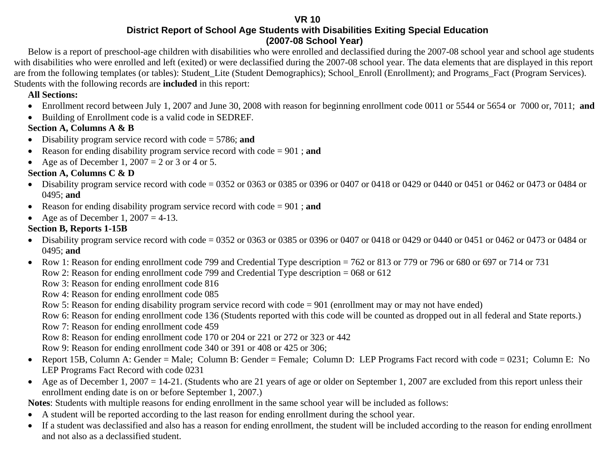**VR 10** 

**District Report of School Age Students with Disabilities Exiting Special Education (2007-08 School Year)**

Below is a report of preschool-age children with disabilities who were enrolled and declassified during the 2007-08 school year and school age students with disabilities who were enrolled and left (exited) or were declassified during the 2007-08 school year. The data elements that are displayed in this report are from the following templates (or tables): Student\_Lite (Student Demographics); School\_Enroll (Enrollment); and Programs\_Fact (Program Services). Students with the following records are **included** in this report:

#### **All Sections:**

- Enrollment record between July 1, 2007 and June 30, 2008 with reason for beginning enrollment code 0011 or 5544 or 5654 or 7000 or, 7011; **and**
- Building of Enrollment code is a valid code in SEDREF.

#### **Section A, Columns A & B**

- Disability program service record with code = 5786; **and**
- $\bullet$ Reason for ending disability program service record with code = 901 ; **and**
- Age as of December 1,  $2007 = 2$  or 3 or 4 or 5.

#### **Section A, Columns C & D**

- Disability program service record with code = 0352 or 0363 or 0385 or 0396 or 0407 or 0418 or 0429 or 0440 or 0451 or 0462 or 0473 or 0484 or 0495; **and**
- Reason for ending disability program service record with code = 901 ; **and**
- $\bullet$ Age as of December 1,  $2007 = 4-13$ .

#### **Section B, Reports 1-15B**

- Disability program service record with code = 0352 or 0363 or 0385 or 0396 or 0407 or 0418 or 0429 or 0440 or 0451 or 0462 or 0473 or 0484 or 0495; **and**
- Row 1: Reason for ending enrollment code 799 and Credential Type description = 762 or 813 or 779 or 796 or 680 or 697 or 714 or 731 Row 2: Reason for ending enrollment code 799 and Credential Type description = 068 or 612

Row 3: Reason for ending enrollment code 816

Row 4: Reason for ending enrollment code 085

Row 5: Reason for ending disability program service record with code = 901 (enrollment may or may not have ended)

Row 6: Reason for ending enrollment code 136 (Students reported with this code will be counted as dropped out in all federal and State reports.)

Row 7: Reason for ending enrollment code 459

Row 8: Reason for ending enrollment code 170 or 204 or 221 or 272 or 323 or 442

Row 9: Reason for ending enrollment code 340 or 391 or 408 or 425 or 306;

- Report 15B, Column A: Gender = Male; Column B: Gender = Female; Column D: LEP Programs Fact record with code = 0231; Column E: No LEP Programs Fact Record with code 0231
- Age as of December 1, 2007 = 14-21. (Students who are 21 years of age or older on September 1, 2007 are excluded from this report unless their enrollment ending date is on or before September 1, 2007.)

**Notes**: Students with multiple reasons for ending enrollment in the same school year will be included as follows:

- $\bullet$ A student will be reported according to the last reason for ending enrollment during the school year.
- $\bullet$  If a student was declassified and also has a reason for ending enrollment, the student will be included according to the reason for ending enrollment and not also as a declassified student.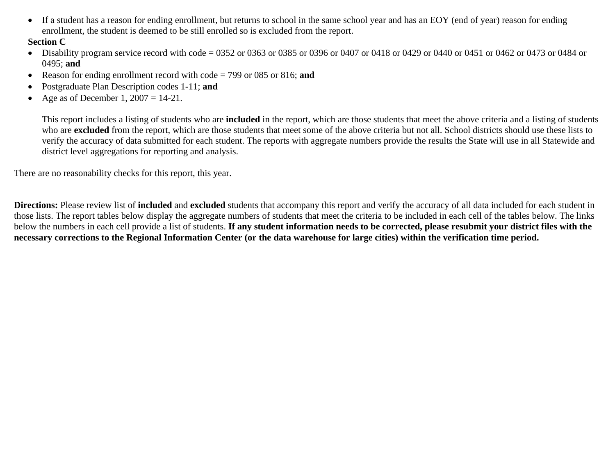$\bullet$  If a student has a reason for ending enrollment, but returns to school in the same school year and has an EOY (end of year) reason for ending enrollment, the student is deemed to be still enrolled so is excluded from the report.

#### **Section C**

- Disability program service record with code = 0352 or 0363 or 0385 or 0396 or 0407 or 0418 or 0429 or 0440 or 0451 or 0462 or 0473 or 0484 or 0495; **and**
- •Reason for ending enrollment record with code = 799 or 085 or 816; **and**
- •Postgraduate Plan Description codes 1-11; **and**
- •Age as of December 1,  $2007 = 14-21$ .

This report includes a listing of students who are **included** in the report, which are those students that meet the above criteria and a listing of students who are **excluded** from the report, which are those students that meet some of the above criteria but not all. School districts should use these lists to verify the accuracy of data submitted for each student. The reports with aggregate numbers provide the results the State will use in all Statewide and district level aggregations for reporting and analysis.

There are no reasonability checks for this report, this year.

**Directions:** Please review list of **included** and **excluded** students that accompany this report and verify the accuracy of all data included for each student in those lists. The report tables below display the aggregate numbers of students that meet the criteria to be included in each cell of the tables below. The links below the numbers in each cell provide a list of students. **If any student information needs to be corrected, please resubmit your district files with the necessary corrections to the Regional Information Center (or the data warehouse for large cities) within the verification time period.**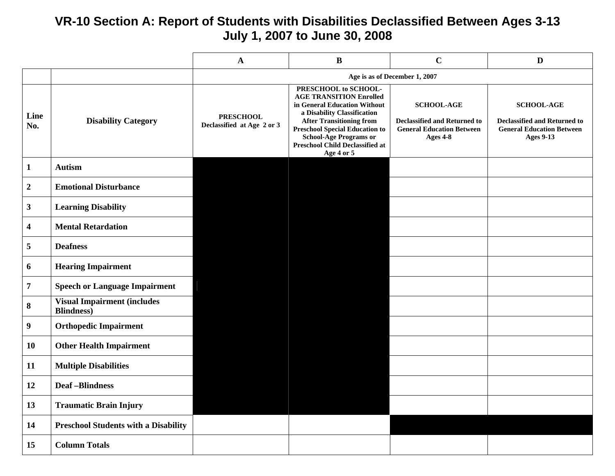### **VR-10 Section A: Report of Students with Disabilities Declassified Between Ages 3-13 July 1, 2007 to June 30, 2008**

|                  |                                                           | $\mathbf{A}$                                   | $\bf{B}$                                                                                                                                                                                                                                                                                   | $\mathbf C$                                                                                              | $\mathbf{D}$                                                                                                     |
|------------------|-----------------------------------------------------------|------------------------------------------------|--------------------------------------------------------------------------------------------------------------------------------------------------------------------------------------------------------------------------------------------------------------------------------------------|----------------------------------------------------------------------------------------------------------|------------------------------------------------------------------------------------------------------------------|
|                  |                                                           |                                                |                                                                                                                                                                                                                                                                                            | Age is as of December 1, 2007                                                                            |                                                                                                                  |
| Line<br>No.      | <b>Disability Category</b>                                | <b>PRESCHOOL</b><br>Declassified at Age 2 or 3 | PRESCHOOL to SCHOOL-<br><b>AGE TRANSITION Enrolled</b><br>in General Education Without<br>a Disability Classification<br><b>After Transitioning from</b><br><b>Preschool Special Education to</b><br><b>School-Age Programs or</b><br><b>Preschool Child Declassified at</b><br>Age 4 or 5 | <b>SCHOOL-AGE</b><br><b>Declassified and Returned to</b><br><b>General Education Between</b><br>Ages 4-8 | <b>SCHOOL-AGE</b><br><b>Declassified and Returned to</b><br><b>General Education Between</b><br><b>Ages 9-13</b> |
| $\mathbf{1}$     | <b>Autism</b>                                             |                                                |                                                                                                                                                                                                                                                                                            |                                                                                                          |                                                                                                                  |
| $\boldsymbol{2}$ | <b>Emotional Disturbance</b>                              |                                                |                                                                                                                                                                                                                                                                                            |                                                                                                          |                                                                                                                  |
| $\mathbf{3}$     | <b>Learning Disability</b>                                |                                                |                                                                                                                                                                                                                                                                                            |                                                                                                          |                                                                                                                  |
| $\boldsymbol{4}$ | <b>Mental Retardation</b>                                 |                                                |                                                                                                                                                                                                                                                                                            |                                                                                                          |                                                                                                                  |
| 5                | <b>Deafness</b>                                           |                                                |                                                                                                                                                                                                                                                                                            |                                                                                                          |                                                                                                                  |
| 6                | <b>Hearing Impairment</b>                                 |                                                |                                                                                                                                                                                                                                                                                            |                                                                                                          |                                                                                                                  |
| 7                | <b>Speech or Language Impairment</b>                      |                                                |                                                                                                                                                                                                                                                                                            |                                                                                                          |                                                                                                                  |
| 8                | <b>Visual Impairment (includes)</b><br><b>Blindness</b> ) |                                                |                                                                                                                                                                                                                                                                                            |                                                                                                          |                                                                                                                  |
| 9                | <b>Orthopedic Impairment</b>                              |                                                |                                                                                                                                                                                                                                                                                            |                                                                                                          |                                                                                                                  |
| 10               | <b>Other Health Impairment</b>                            |                                                |                                                                                                                                                                                                                                                                                            |                                                                                                          |                                                                                                                  |
| 11               | <b>Multiple Disabilities</b>                              |                                                |                                                                                                                                                                                                                                                                                            |                                                                                                          |                                                                                                                  |
| 12               | <b>Deaf-Blindness</b>                                     |                                                |                                                                                                                                                                                                                                                                                            |                                                                                                          |                                                                                                                  |
| 13               | <b>Traumatic Brain Injury</b>                             |                                                |                                                                                                                                                                                                                                                                                            |                                                                                                          |                                                                                                                  |
| 14               | <b>Preschool Students with a Disability</b>               |                                                |                                                                                                                                                                                                                                                                                            |                                                                                                          |                                                                                                                  |
| 15               | <b>Column Totals</b>                                      |                                                |                                                                                                                                                                                                                                                                                            |                                                                                                          |                                                                                                                  |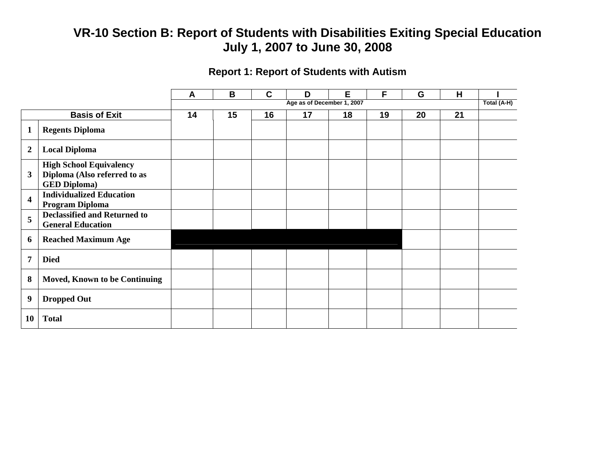### **Report 1: Report of Students with Autism**

|                         |                                                                                       | A  | B  | $\mathbf C$ | D                          | E  | F  | G  | H  |             |
|-------------------------|---------------------------------------------------------------------------------------|----|----|-------------|----------------------------|----|----|----|----|-------------|
|                         |                                                                                       |    |    |             | Age as of December 1, 2007 |    |    |    |    | Total (A-H) |
|                         | <b>Basis of Exit</b>                                                                  | 14 | 15 | 16          | 17                         | 18 | 19 | 20 | 21 |             |
| $\mathbf{1}$            | <b>Regents Diploma</b>                                                                |    |    |             |                            |    |    |    |    |             |
| $\boldsymbol{2}$        | <b>Local Diploma</b>                                                                  |    |    |             |                            |    |    |    |    |             |
| $\mathbf{3}$            | <b>High School Equivalency</b><br>Diploma (Also referred to as<br><b>GED Diploma)</b> |    |    |             |                            |    |    |    |    |             |
| $\overline{\mathbf{4}}$ | <b>Individualized Education</b><br>Program Diploma                                    |    |    |             |                            |    |    |    |    |             |
| 5                       | <b>Declassified and Returned to</b><br><b>General Education</b>                       |    |    |             |                            |    |    |    |    |             |
| 6                       | <b>Reached Maximum Age</b>                                                            |    |    |             |                            |    |    |    |    |             |
| $\overline{7}$          | <b>Died</b>                                                                           |    |    |             |                            |    |    |    |    |             |
| 8                       | Moved, Known to be Continuing                                                         |    |    |             |                            |    |    |    |    |             |
| $\boldsymbol{9}$        | <b>Dropped Out</b>                                                                    |    |    |             |                            |    |    |    |    |             |
| 10                      | <b>Total</b>                                                                          |    |    |             |                            |    |    |    |    |             |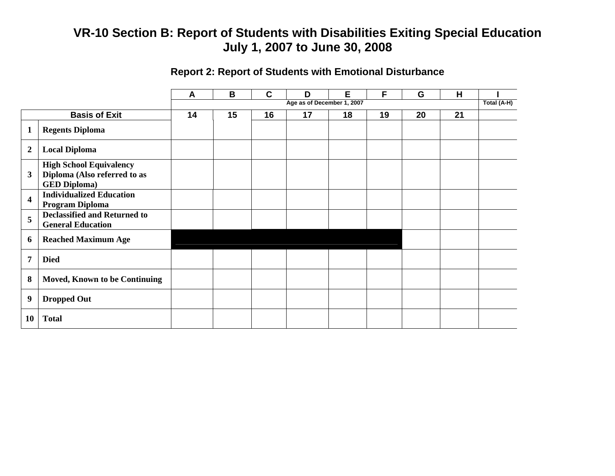### **Report 2: Report of Students with Emotional Disturbance**

|                         |                                                                                       | A  | B  | $\mathbf C$ | D                          | E  | F  | G  | H  |             |
|-------------------------|---------------------------------------------------------------------------------------|----|----|-------------|----------------------------|----|----|----|----|-------------|
|                         |                                                                                       |    |    |             | Age as of December 1, 2007 |    |    |    |    | Total (A-H) |
|                         | <b>Basis of Exit</b>                                                                  | 14 | 15 | 16          | 17                         | 18 | 19 | 20 | 21 |             |
| 1                       | <b>Regents Diploma</b>                                                                |    |    |             |                            |    |    |    |    |             |
| $\boldsymbol{2}$        | <b>Local Diploma</b>                                                                  |    |    |             |                            |    |    |    |    |             |
| 3                       | <b>High School Equivalency</b><br>Diploma (Also referred to as<br><b>GED Diploma)</b> |    |    |             |                            |    |    |    |    |             |
| $\overline{\mathbf{4}}$ | <b>Individualized Education</b><br>Program Diploma                                    |    |    |             |                            |    |    |    |    |             |
| 5                       | <b>Declassified and Returned to</b><br><b>General Education</b>                       |    |    |             |                            |    |    |    |    |             |
| 6                       | <b>Reached Maximum Age</b>                                                            |    |    |             |                            |    |    |    |    |             |
| $\overline{7}$          | <b>Died</b>                                                                           |    |    |             |                            |    |    |    |    |             |
| 8                       | <b>Moved, Known to be Continuing</b>                                                  |    |    |             |                            |    |    |    |    |             |
| $\boldsymbol{9}$        | <b>Dropped Out</b>                                                                    |    |    |             |                            |    |    |    |    |             |
| 10                      | <b>Total</b>                                                                          |    |    |             |                            |    |    |    |    |             |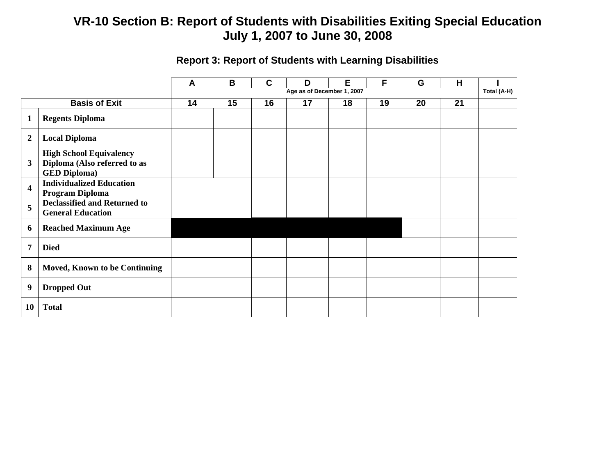|                         |                                                                                       | A  | B  | C  | D                          | Е  | F  | G  | H  |             |
|-------------------------|---------------------------------------------------------------------------------------|----|----|----|----------------------------|----|----|----|----|-------------|
|                         |                                                                                       |    |    |    | Age as of December 1, 2007 |    |    |    |    | Total (A-H) |
|                         | <b>Basis of Exit</b>                                                                  | 14 | 15 | 16 | 17                         | 18 | 19 | 20 | 21 |             |
| $\mathbf{1}$            | <b>Regents Diploma</b>                                                                |    |    |    |                            |    |    |    |    |             |
| $\overline{2}$          | <b>Local Diploma</b>                                                                  |    |    |    |                            |    |    |    |    |             |
| $\mathbf{3}$            | <b>High School Equivalency</b><br>Diploma (Also referred to as<br><b>GED Diploma)</b> |    |    |    |                            |    |    |    |    |             |
| $\overline{\mathbf{4}}$ | <b>Individualized Education</b><br><b>Program Diploma</b>                             |    |    |    |                            |    |    |    |    |             |
| 5                       | <b>Declassified and Returned to</b><br><b>General Education</b>                       |    |    |    |                            |    |    |    |    |             |
| 6                       | <b>Reached Maximum Age</b>                                                            |    |    |    |                            |    |    |    |    |             |
| $\overline{7}$          | <b>Died</b>                                                                           |    |    |    |                            |    |    |    |    |             |
| 8                       | Moved, Known to be Continuing                                                         |    |    |    |                            |    |    |    |    |             |
| 9                       | <b>Dropped Out</b>                                                                    |    |    |    |                            |    |    |    |    |             |
| 10                      | <b>Total</b>                                                                          |    |    |    |                            |    |    |    |    |             |

### **Report 3: Report of Students with Learning Disabilities**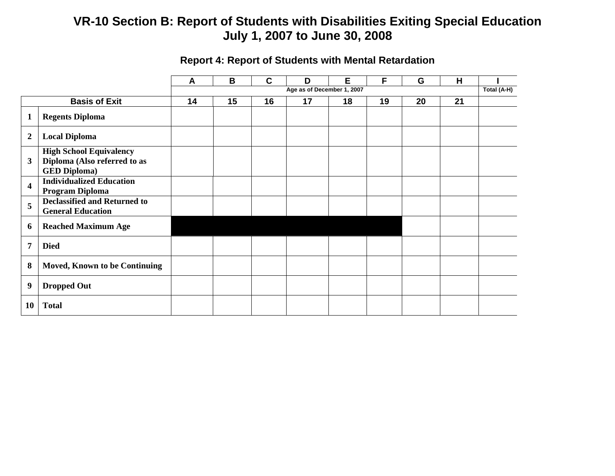|                         |                                                                                       | A  | B  | C  | D                          | E. | F  | G  | H  |             |
|-------------------------|---------------------------------------------------------------------------------------|----|----|----|----------------------------|----|----|----|----|-------------|
|                         |                                                                                       |    |    |    | Age as of December 1, 2007 |    |    |    |    | Total (A-H) |
|                         | <b>Basis of Exit</b>                                                                  | 14 | 15 | 16 | 17                         | 18 | 19 | 20 | 21 |             |
| 1                       | <b>Regents Diploma</b>                                                                |    |    |    |                            |    |    |    |    |             |
| $\boldsymbol{2}$        | <b>Local Diploma</b>                                                                  |    |    |    |                            |    |    |    |    |             |
| 3                       | <b>High School Equivalency</b><br>Diploma (Also referred to as<br><b>GED Diploma)</b> |    |    |    |                            |    |    |    |    |             |
| $\overline{\mathbf{4}}$ | <b>Individualized Education</b><br>Program Diploma                                    |    |    |    |                            |    |    |    |    |             |
| 5                       | <b>Declassified and Returned to</b><br><b>General Education</b>                       |    |    |    |                            |    |    |    |    |             |
| 6                       | <b>Reached Maximum Age</b>                                                            |    |    |    |                            |    |    |    |    |             |
| $\overline{7}$          | <b>Died</b>                                                                           |    |    |    |                            |    |    |    |    |             |
| 8                       | <b>Moved, Known to be Continuing</b>                                                  |    |    |    |                            |    |    |    |    |             |
| $\boldsymbol{9}$        | <b>Dropped Out</b>                                                                    |    |    |    |                            |    |    |    |    |             |
| <b>10</b>               | <b>Total</b>                                                                          |    |    |    |                            |    |    |    |    |             |

### **Report 4: Report of Students with Mental Retardation**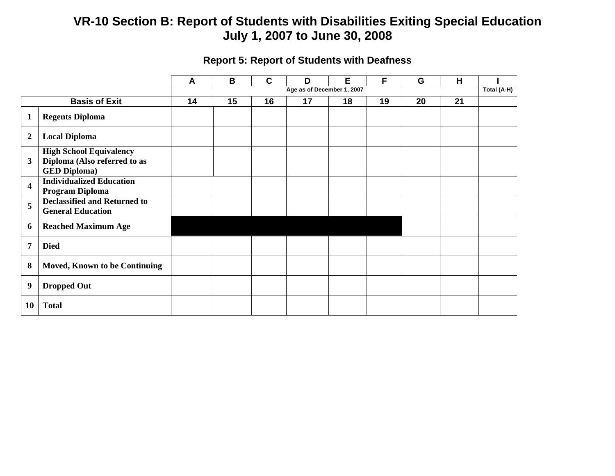|                         |                                                                                       | A  | B  | C  | D                          | Е  | F  | G  | н  |             |
|-------------------------|---------------------------------------------------------------------------------------|----|----|----|----------------------------|----|----|----|----|-------------|
|                         |                                                                                       |    |    |    | Age as of December 1, 2007 |    |    |    |    | Total (A-H) |
|                         | <b>Basis of Exit</b>                                                                  | 14 | 15 | 16 | 17                         | 18 | 19 | 20 | 21 |             |
| $\mathbf{1}$            | <b>Regents Diploma</b>                                                                |    |    |    |                            |    |    |    |    |             |
| $\boldsymbol{2}$        | <b>Local Diploma</b>                                                                  |    |    |    |                            |    |    |    |    |             |
| 3                       | <b>High School Equivalency</b><br>Diploma (Also referred to as<br><b>GED Diploma)</b> |    |    |    |                            |    |    |    |    |             |
| $\overline{\mathbf{4}}$ | <b>Individualized Education</b><br><b>Program Diploma</b>                             |    |    |    |                            |    |    |    |    |             |
| 5                       | <b>Declassified and Returned to</b><br><b>General Education</b>                       |    |    |    |                            |    |    |    |    |             |
| 6                       | <b>Reached Maximum Age</b>                                                            |    |    |    |                            |    |    |    |    |             |
| 7                       | <b>Died</b>                                                                           |    |    |    |                            |    |    |    |    |             |
| 8                       | Moved, Known to be Continuing                                                         |    |    |    |                            |    |    |    |    |             |
| $\boldsymbol{9}$        | <b>Dropped Out</b>                                                                    |    |    |    |                            |    |    |    |    |             |
| 10                      | <b>Total</b>                                                                          |    |    |    |                            |    |    |    |    |             |

### **Report 5: Report of Students with Deafness**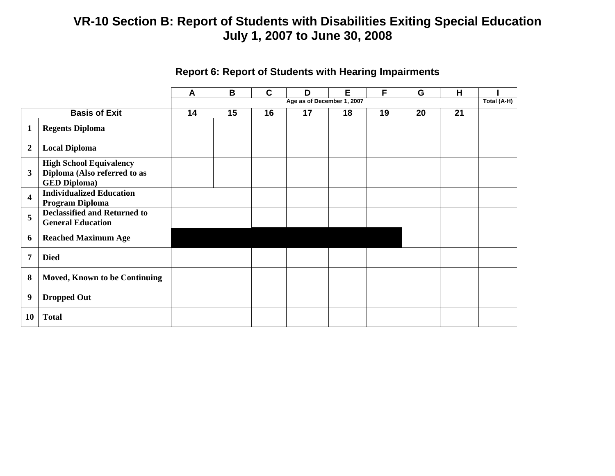|                         |                                                                                       | A  | B  | C  | D                          | Е  | F  | G  | H  |             |
|-------------------------|---------------------------------------------------------------------------------------|----|----|----|----------------------------|----|----|----|----|-------------|
|                         |                                                                                       |    |    |    | Age as of December 1, 2007 |    |    |    |    | Total (A-H) |
|                         | <b>Basis of Exit</b>                                                                  | 14 | 15 | 16 | 17                         | 18 | 19 | 20 | 21 |             |
| $\mathbf{1}$            | <b>Regents Diploma</b>                                                                |    |    |    |                            |    |    |    |    |             |
| $\boldsymbol{2}$        | <b>Local Diploma</b>                                                                  |    |    |    |                            |    |    |    |    |             |
| 3                       | <b>High School Equivalency</b><br>Diploma (Also referred to as<br><b>GED Diploma)</b> |    |    |    |                            |    |    |    |    |             |
| $\overline{\mathbf{4}}$ | <b>Individualized Education</b><br>Program Diploma                                    |    |    |    |                            |    |    |    |    |             |
| 5                       | <b>Declassified and Returned to</b><br><b>General Education</b>                       |    |    |    |                            |    |    |    |    |             |
| 6                       | <b>Reached Maximum Age</b>                                                            |    |    |    |                            |    |    |    |    |             |
| $\overline{7}$          | <b>Died</b>                                                                           |    |    |    |                            |    |    |    |    |             |
| 8                       | <b>Moved, Known to be Continuing</b>                                                  |    |    |    |                            |    |    |    |    |             |
| 9                       | <b>Dropped Out</b>                                                                    |    |    |    |                            |    |    |    |    |             |
| 10                      | <b>Total</b>                                                                          |    |    |    |                            |    |    |    |    |             |

### **Report 6: Report of Students with Hearing Impairments**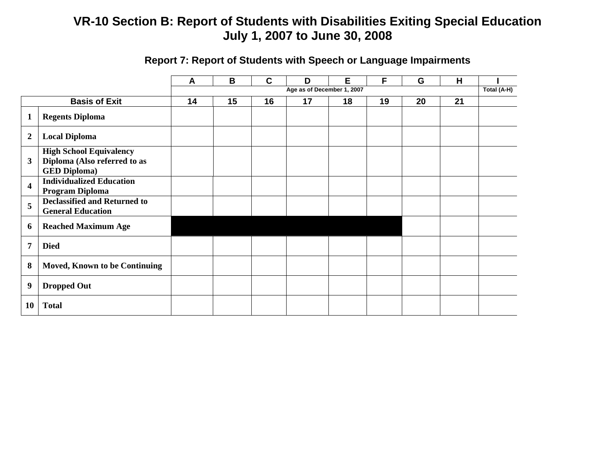|                         |                                                                                       | A  | B  | $\mathbf C$ | D                          | Е  | F  | G  | H  |             |
|-------------------------|---------------------------------------------------------------------------------------|----|----|-------------|----------------------------|----|----|----|----|-------------|
|                         |                                                                                       |    |    |             | Age as of December 1, 2007 |    |    |    |    | Total (A-H) |
|                         | <b>Basis of Exit</b>                                                                  | 14 | 15 | 16          | 17                         | 18 | 19 | 20 | 21 |             |
| $\mathbf{1}$            | <b>Regents Diploma</b>                                                                |    |    |             |                            |    |    |    |    |             |
| $\boldsymbol{2}$        | <b>Local Diploma</b>                                                                  |    |    |             |                            |    |    |    |    |             |
| 3                       | <b>High School Equivalency</b><br>Diploma (Also referred to as<br><b>GED Diploma)</b> |    |    |             |                            |    |    |    |    |             |
| $\overline{\mathbf{4}}$ | <b>Individualized Education</b><br>Program Diploma                                    |    |    |             |                            |    |    |    |    |             |
| 5                       | <b>Declassified and Returned to</b><br><b>General Education</b>                       |    |    |             |                            |    |    |    |    |             |
| 6                       | <b>Reached Maximum Age</b>                                                            |    |    |             |                            |    |    |    |    |             |
| 7                       | <b>Died</b>                                                                           |    |    |             |                            |    |    |    |    |             |
| 8                       | <b>Moved, Known to be Continuing</b>                                                  |    |    |             |                            |    |    |    |    |             |
| $\boldsymbol{9}$        | <b>Dropped Out</b>                                                                    |    |    |             |                            |    |    |    |    |             |
| 10                      | <b>Total</b>                                                                          |    |    |             |                            |    |    |    |    |             |

# **Report 7: Report of Students with Speech or Language Impairments**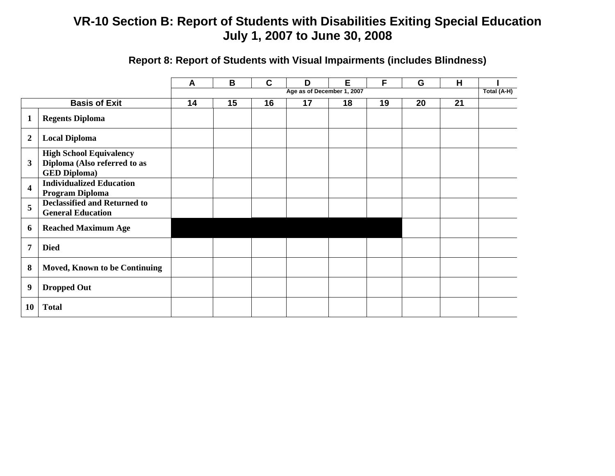|                         |                                                                                       | A  | B  | $\mathbf C$ | D                          | Е  | F  | G  | H  |             |
|-------------------------|---------------------------------------------------------------------------------------|----|----|-------------|----------------------------|----|----|----|----|-------------|
|                         |                                                                                       |    |    |             | Age as of December 1, 2007 |    |    |    |    | Total (A-H) |
|                         | <b>Basis of Exit</b>                                                                  | 14 | 15 | 16          | 17                         | 18 | 19 | 20 | 21 |             |
| $\mathbf{1}$            | <b>Regents Diploma</b>                                                                |    |    |             |                            |    |    |    |    |             |
| $\boldsymbol{2}$        | <b>Local Diploma</b>                                                                  |    |    |             |                            |    |    |    |    |             |
| 3                       | <b>High School Equivalency</b><br>Diploma (Also referred to as<br><b>GED Diploma)</b> |    |    |             |                            |    |    |    |    |             |
| $\overline{\mathbf{4}}$ | <b>Individualized Education</b><br>Program Diploma                                    |    |    |             |                            |    |    |    |    |             |
| 5                       | <b>Declassified and Returned to</b><br><b>General Education</b>                       |    |    |             |                            |    |    |    |    |             |
| 6                       | <b>Reached Maximum Age</b>                                                            |    |    |             |                            |    |    |    |    |             |
| 7                       | <b>Died</b>                                                                           |    |    |             |                            |    |    |    |    |             |
| 8                       | Moved, Known to be Continuing                                                         |    |    |             |                            |    |    |    |    |             |
| $\boldsymbol{9}$        | <b>Dropped Out</b>                                                                    |    |    |             |                            |    |    |    |    |             |
| <b>10</b>               | <b>Total</b>                                                                          |    |    |             |                            |    |    |    |    |             |

### **Report 8: Report of Students with Visual Impairments (includes Blindness)**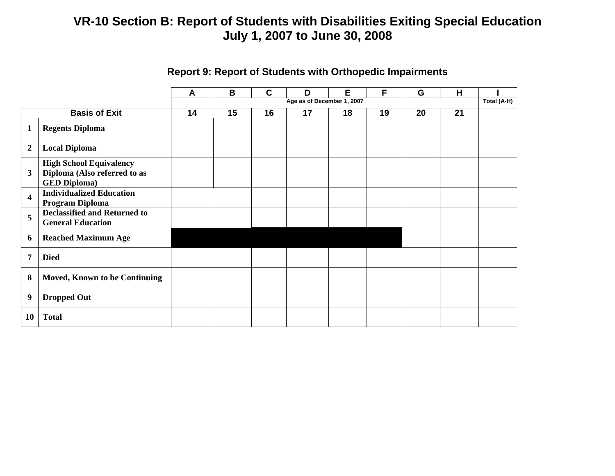|                         |                                                                                       | B<br>C<br>E<br>F<br>H<br>G<br>D<br>A |    |    |                            |    |    |    |    |             |
|-------------------------|---------------------------------------------------------------------------------------|--------------------------------------|----|----|----------------------------|----|----|----|----|-------------|
|                         |                                                                                       |                                      |    |    | Age as of December 1, 2007 |    |    |    |    | Total (A-H) |
|                         | <b>Basis of Exit</b>                                                                  | 14                                   | 15 | 16 | 17                         | 18 | 19 | 20 | 21 |             |
| $\mathbf{1}$            | <b>Regents Diploma</b>                                                                |                                      |    |    |                            |    |    |    |    |             |
| $\boldsymbol{2}$        | <b>Local Diploma</b>                                                                  |                                      |    |    |                            |    |    |    |    |             |
| 3                       | <b>High School Equivalency</b><br>Diploma (Also referred to as<br><b>GED Diploma)</b> |                                      |    |    |                            |    |    |    |    |             |
| $\overline{\mathbf{4}}$ | <b>Individualized Education</b><br><b>Program Diploma</b>                             |                                      |    |    |                            |    |    |    |    |             |
| 5                       | <b>Declassified and Returned to</b><br><b>General Education</b>                       |                                      |    |    |                            |    |    |    |    |             |
| 6                       | <b>Reached Maximum Age</b>                                                            |                                      |    |    |                            |    |    |    |    |             |
| $\overline{7}$          | <b>Died</b>                                                                           |                                      |    |    |                            |    |    |    |    |             |
| 8                       | <b>Moved, Known to be Continuing</b>                                                  |                                      |    |    |                            |    |    |    |    |             |
| $\boldsymbol{9}$        | <b>Dropped Out</b>                                                                    |                                      |    |    |                            |    |    |    |    |             |
| 10                      | <b>Total</b>                                                                          |                                      |    |    |                            |    |    |    |    |             |

### **Report 9: Report of Students with Orthopedic Impairments**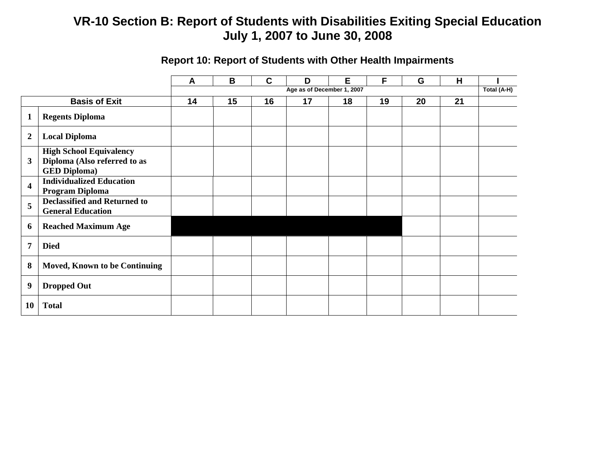|                         |                                                                                       | A  | B  | $\mathbf c$ | D                          | Е  | F  | G  | н  |             |
|-------------------------|---------------------------------------------------------------------------------------|----|----|-------------|----------------------------|----|----|----|----|-------------|
|                         |                                                                                       |    |    |             | Age as of December 1, 2007 |    |    |    |    | Total (A-H) |
|                         | <b>Basis of Exit</b>                                                                  | 14 | 15 | 16          | 17                         | 18 | 19 | 20 | 21 |             |
|                         | <b>Regents Diploma</b>                                                                |    |    |             |                            |    |    |    |    |             |
| $\overline{2}$          | <b>Local Diploma</b>                                                                  |    |    |             |                            |    |    |    |    |             |
| 3                       | <b>High School Equivalency</b><br>Diploma (Also referred to as<br><b>GED Diploma)</b> |    |    |             |                            |    |    |    |    |             |
| $\overline{\mathbf{4}}$ | <b>Individualized Education</b><br>Program Diploma                                    |    |    |             |                            |    |    |    |    |             |
| 5                       | <b>Declassified and Returned to</b><br><b>General Education</b>                       |    |    |             |                            |    |    |    |    |             |
| 6                       | <b>Reached Maximum Age</b>                                                            |    |    |             |                            |    |    |    |    |             |
| $\overline{7}$          | <b>Died</b>                                                                           |    |    |             |                            |    |    |    |    |             |
| 8                       | Moved, Known to be Continuing                                                         |    |    |             |                            |    |    |    |    |             |
| 9                       | <b>Dropped Out</b>                                                                    |    |    |             |                            |    |    |    |    |             |
| <b>10</b>               | <b>Total</b>                                                                          |    |    |             |                            |    |    |    |    |             |

# **Report 10: Report of Students with Other Health Impairments**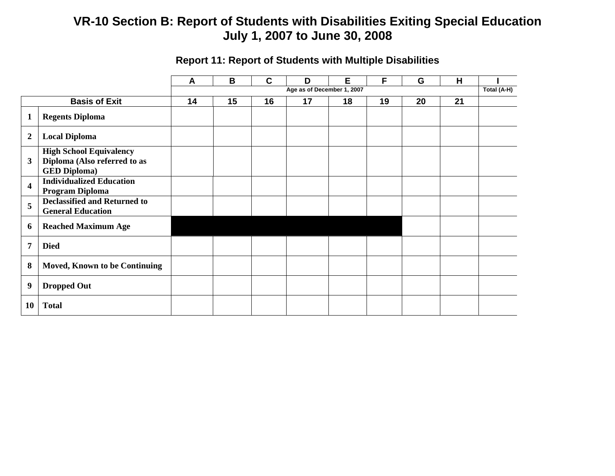|                         |                                                                                       | A  | B  | $\mathbf{C}$ | D                          | E  | F  | G  | H  |             |
|-------------------------|---------------------------------------------------------------------------------------|----|----|--------------|----------------------------|----|----|----|----|-------------|
|                         |                                                                                       |    |    |              | Age as of December 1, 2007 |    |    |    |    | Total (A-H) |
|                         | <b>Basis of Exit</b>                                                                  | 14 | 15 | 16           | 17                         | 18 | 19 | 20 | 21 |             |
| $\mathbf{1}$            | <b>Regents Diploma</b>                                                                |    |    |              |                            |    |    |    |    |             |
| $\boldsymbol{2}$        | <b>Local Diploma</b>                                                                  |    |    |              |                            |    |    |    |    |             |
| 3                       | <b>High School Equivalency</b><br>Diploma (Also referred to as<br><b>GED Diploma)</b> |    |    |              |                            |    |    |    |    |             |
| $\overline{\mathbf{4}}$ | <b>Individualized Education</b><br>Program Diploma                                    |    |    |              |                            |    |    |    |    |             |
| 5                       | <b>Declassified and Returned to</b><br><b>General Education</b>                       |    |    |              |                            |    |    |    |    |             |
| 6                       | <b>Reached Maximum Age</b>                                                            |    |    |              |                            |    |    |    |    |             |
| $\overline{7}$          | <b>Died</b>                                                                           |    |    |              |                            |    |    |    |    |             |
| 8                       | <b>Moved, Known to be Continuing</b>                                                  |    |    |              |                            |    |    |    |    |             |
| $\boldsymbol{9}$        | <b>Dropped Out</b>                                                                    |    |    |              |                            |    |    |    |    |             |
| 10                      | <b>Total</b>                                                                          |    |    |              |                            |    |    |    |    |             |

### **Report 11: Report of Students with Multiple Disabilities**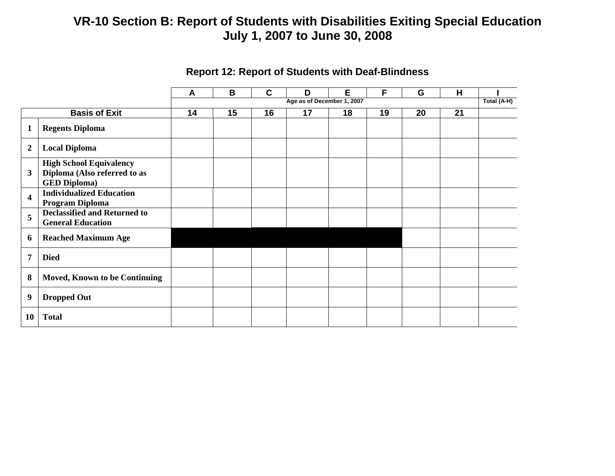|                            |                                                                                       | A | B  | C                          | D  | E  | F  | G  | H  | Total (A-H) |  |
|----------------------------|---------------------------------------------------------------------------------------|---|----|----------------------------|----|----|----|----|----|-------------|--|
|                            |                                                                                       |   |    | Age as of December 1, 2007 |    |    |    |    |    |             |  |
| <b>Basis of Exit</b><br>14 |                                                                                       |   | 15 | 16                         | 17 | 18 | 19 | 20 | 21 |             |  |
| $\mathbf{1}$               | <b>Regents Diploma</b>                                                                |   |    |                            |    |    |    |    |    |             |  |
| $\boldsymbol{2}$           | <b>Local Diploma</b>                                                                  |   |    |                            |    |    |    |    |    |             |  |
| 3                          | <b>High School Equivalency</b><br>Diploma (Also referred to as<br><b>GED Diploma)</b> |   |    |                            |    |    |    |    |    |             |  |
| $\overline{\mathbf{4}}$    | <b>Individualized Education</b><br>Program Diploma                                    |   |    |                            |    |    |    |    |    |             |  |
| 5                          | <b>Declassified and Returned to</b><br><b>General Education</b>                       |   |    |                            |    |    |    |    |    |             |  |
| 6                          | <b>Reached Maximum Age</b>                                                            |   |    |                            |    |    |    |    |    |             |  |
| $\overline{7}$             | <b>Died</b>                                                                           |   |    |                            |    |    |    |    |    |             |  |
| 8                          | Moved, Known to be Continuing                                                         |   |    |                            |    |    |    |    |    |             |  |
| $\boldsymbol{9}$           | <b>Dropped Out</b>                                                                    |   |    |                            |    |    |    |    |    |             |  |
| 10                         | <b>Total</b>                                                                          |   |    |                            |    |    |    |    |    |             |  |

### **Report 12: Report of Students with Deaf-Blindness**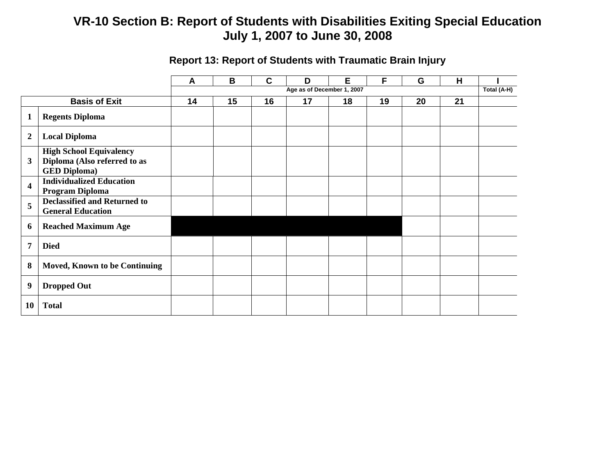|                         |                                                                                       | A  | B  | C  | D                          | E  | F  | G  | H  |             |
|-------------------------|---------------------------------------------------------------------------------------|----|----|----|----------------------------|----|----|----|----|-------------|
|                         |                                                                                       |    |    |    | Age as of December 1, 2007 |    |    |    |    | Total (A-H) |
|                         | <b>Basis of Exit</b>                                                                  | 14 | 15 | 16 | 17                         | 18 | 19 | 20 | 21 |             |
| $\mathbf{1}$            | <b>Regents Diploma</b>                                                                |    |    |    |                            |    |    |    |    |             |
| $\boldsymbol{2}$        | <b>Local Diploma</b>                                                                  |    |    |    |                            |    |    |    |    |             |
| 3                       | <b>High School Equivalency</b><br>Diploma (Also referred to as<br><b>GED Diploma)</b> |    |    |    |                            |    |    |    |    |             |
| $\overline{\mathbf{4}}$ | <b>Individualized Education</b><br><b>Program Diploma</b>                             |    |    |    |                            |    |    |    |    |             |
| 5                       | <b>Declassified and Returned to</b><br><b>General Education</b>                       |    |    |    |                            |    |    |    |    |             |
| 6                       | <b>Reached Maximum Age</b>                                                            |    |    |    |                            |    |    |    |    |             |
| 7                       | <b>Died</b>                                                                           |    |    |    |                            |    |    |    |    |             |
| 8                       | <b>Moved, Known to be Continuing</b>                                                  |    |    |    |                            |    |    |    |    |             |
| $\boldsymbol{9}$        | <b>Dropped Out</b>                                                                    |    |    |    |                            |    |    |    |    |             |
| 10                      | <b>Total</b>                                                                          |    |    |    |                            |    |    |    |    |             |

### **Report 13: Report of Students with Traumatic Brain Injury**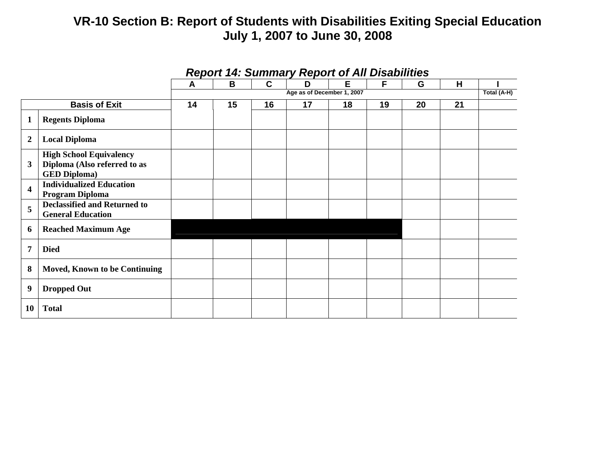|                         |                                                                                       |                            |    |             | Report 14. Summary Report of All Disabilities |    |    |    |    |  |  |
|-------------------------|---------------------------------------------------------------------------------------|----------------------------|----|-------------|-----------------------------------------------|----|----|----|----|--|--|
|                         |                                                                                       | A                          | B  | $\mathbf c$ | D                                             | Е  | F  | G  | H  |  |  |
|                         |                                                                                       | Age as of December 1, 2007 |    |             |                                               |    |    |    |    |  |  |
|                         | <b>Basis of Exit</b>                                                                  | 14                         | 15 | 16          | 17                                            | 18 | 19 | 20 | 21 |  |  |
| 1                       | <b>Regents Diploma</b>                                                                |                            |    |             |                                               |    |    |    |    |  |  |
| $\overline{2}$          | <b>Local Diploma</b>                                                                  |                            |    |             |                                               |    |    |    |    |  |  |
| $\overline{\mathbf{3}}$ | <b>High School Equivalency</b><br>Diploma (Also referred to as<br><b>GED Diploma)</b> |                            |    |             |                                               |    |    |    |    |  |  |
| $\overline{\mathbf{4}}$ | <b>Individualized Education</b><br>Program Diploma                                    |                            |    |             |                                               |    |    |    |    |  |  |
| 5                       | <b>Declassified and Returned to</b><br><b>General Education</b>                       |                            |    |             |                                               |    |    |    |    |  |  |
| 6                       | <b>Reached Maximum Age</b>                                                            |                            |    |             |                                               |    |    |    |    |  |  |
| 7                       | <b>Died</b>                                                                           |                            |    |             |                                               |    |    |    |    |  |  |
| 8                       | Moved, Known to be Continuing                                                         |                            |    |             |                                               |    |    |    |    |  |  |
| $\boldsymbol{9}$        | <b>Dropped Out</b>                                                                    |                            |    |             |                                               |    |    |    |    |  |  |
| <b>10</b>               | <b>Total</b>                                                                          |                            |    |             |                                               |    |    |    |    |  |  |

#### *Report 14: Summary Report of All Disabilities*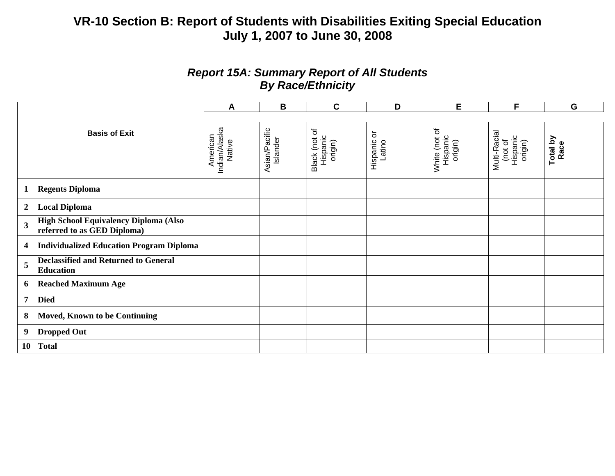### *Report 15A: Summary Report of All Students By Race/Ethnicity*

| <b>Basis of Exit</b>    |                                                                      | A                                   | B                         | $\mathbf C$                          | D                                        | E                                    | F                                              | G                |
|-------------------------|----------------------------------------------------------------------|-------------------------------------|---------------------------|--------------------------------------|------------------------------------------|--------------------------------------|------------------------------------------------|------------------|
|                         |                                                                      |                                     |                           |                                      |                                          |                                      |                                                |                  |
|                         |                                                                      | Indian/Alaska<br>Native<br>American | Asian/Pacific<br>Islander | Black (not of<br>Hispanic<br>origin) | $\rm \overline{o}$<br>Hispanic<br>Latino | White (not of<br>Hispanic<br>origin) | Multi-Racial<br>(not of<br>Hispanic<br>origin) | Total by<br>Race |
| $\mathbf{1}$            | <b>Regents Diploma</b>                                               |                                     |                           |                                      |                                          |                                      |                                                |                  |
| $\boldsymbol{2}$        | <b>Local Diploma</b>                                                 |                                     |                           |                                      |                                          |                                      |                                                |                  |
| $\overline{\mathbf{3}}$ | High School Equivalency Diploma (Also<br>referred to as GED Diploma) |                                     |                           |                                      |                                          |                                      |                                                |                  |
| 4                       | <b>Individualized Education Program Diploma</b>                      |                                     |                           |                                      |                                          |                                      |                                                |                  |
| 5                       | <b>Declassified and Returned to General</b><br><b>Education</b>      |                                     |                           |                                      |                                          |                                      |                                                |                  |
| 6                       | <b>Reached Maximum Age</b>                                           |                                     |                           |                                      |                                          |                                      |                                                |                  |
| $\overline{7}$          | <b>Died</b>                                                          |                                     |                           |                                      |                                          |                                      |                                                |                  |
| 8                       | <b>Moved, Known to be Continuing</b>                                 |                                     |                           |                                      |                                          |                                      |                                                |                  |
| 9                       | <b>Dropped Out</b>                                                   |                                     |                           |                                      |                                          |                                      |                                                |                  |
| <b>10</b>               | <b>Total</b>                                                         |                                     |                           |                                      |                                          |                                      |                                                |                  |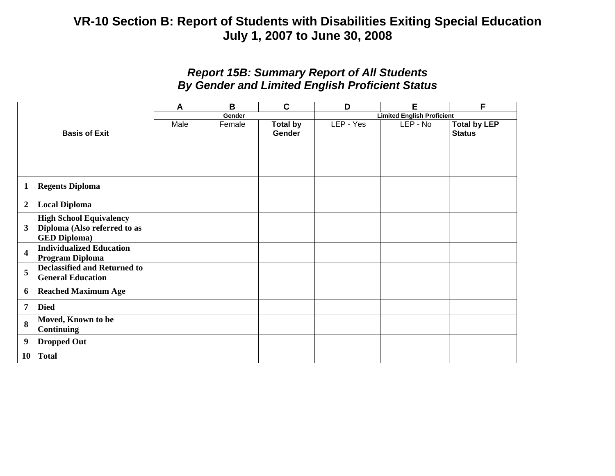### *Report 15B: Summary Report of All Students By Gender and Limited English Proficient Status*

|                         |                                                                                       | A    | B      | $\mathbf C$               | D                                 | E        | F                                    |  |  |  |
|-------------------------|---------------------------------------------------------------------------------------|------|--------|---------------------------|-----------------------------------|----------|--------------------------------------|--|--|--|
|                         |                                                                                       |      | Gender |                           | <b>Limited English Proficient</b> |          |                                      |  |  |  |
| <b>Basis of Exit</b>    |                                                                                       | Male | Female | <b>Total by</b><br>Gender | LEP - Yes                         | LEP - No | <b>Total by LEP</b><br><b>Status</b> |  |  |  |
| $\mathbf{1}$            | <b>Regents Diploma</b>                                                                |      |        |                           |                                   |          |                                      |  |  |  |
| $\overline{2}$          | <b>Local Diploma</b>                                                                  |      |        |                           |                                   |          |                                      |  |  |  |
| $\mathbf{3}$            | <b>High School Equivalency</b><br>Diploma (Also referred to as<br><b>GED Diploma)</b> |      |        |                           |                                   |          |                                      |  |  |  |
| $\overline{\mathbf{4}}$ | <b>Individualized Education</b><br>Program Diploma                                    |      |        |                           |                                   |          |                                      |  |  |  |
| 5                       | <b>Declassified and Returned to</b><br><b>General Education</b>                       |      |        |                           |                                   |          |                                      |  |  |  |
| 6                       | <b>Reached Maximum Age</b>                                                            |      |        |                           |                                   |          |                                      |  |  |  |
| 7                       | <b>Died</b>                                                                           |      |        |                           |                                   |          |                                      |  |  |  |
| 8                       | Moved, Known to be<br>Continuing                                                      |      |        |                           |                                   |          |                                      |  |  |  |
| 9                       | <b>Dropped Out</b>                                                                    |      |        |                           |                                   |          |                                      |  |  |  |
| 10                      | <b>Total</b>                                                                          |      |        |                           |                                   |          |                                      |  |  |  |